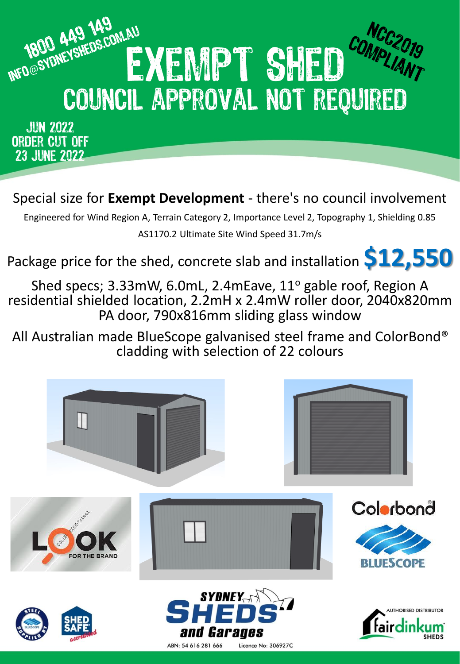

**JUN 2022** ORDER CUT OFF **23 JUNE 2022** 

Special size for **Exempt Development** - there's no council involvement

Engineered for Wind Region A, Terrain Category 2, Importance Level 2, Topography 1, Shielding 0.85 AS1170.2 Ultimate Site Wind Speed 31.7m/s

Package price for the shed, concrete slab and installation **\$12,550**

Shed specs; 3.33mW, 6.0mL, 2.4mEave, 11° gable roof, Region A residential shielded location, 2.2mH x 2.4mW roller door, 2040x820mm PA door, 790x816mm sliding glass window

All Australian made BlueScope galvanised steel frame and ColorBond® cladding with selection of 22 colours